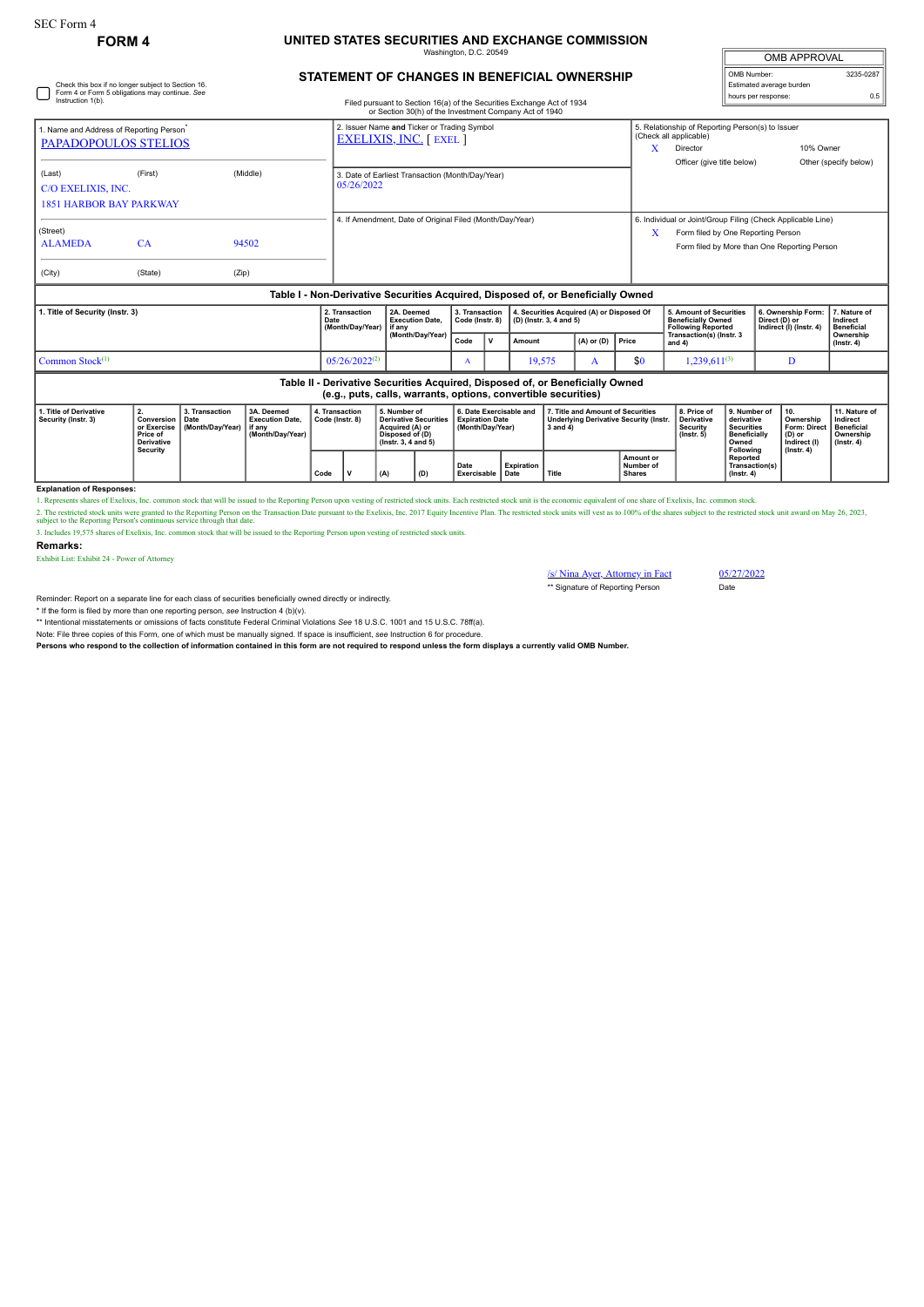Check this box if no longer subject to Section 16. Form 4 or Form 5 obligations may continue. *See*

## **FORM 4 UNITED STATES SECURITIES AND EXCHANGE COMMISSION** naton, D.C. 20

| <b>OMB APPROVAL</b>      |           |  |  |  |  |  |  |  |
|--------------------------|-----------|--|--|--|--|--|--|--|
| OMB Number:              | 3235-0287 |  |  |  |  |  |  |  |
| Estimated average burden |           |  |  |  |  |  |  |  |
| hours per response:      | 0.5       |  |  |  |  |  |  |  |

## **STATEMENT OF CHANGES IN BENEFICIAL OWNERSHIP**

| Instruction 1(b).                                                                                                                               |                                                                                     |                                            |                                                                    |      |                                                                             |                                                | Filed pursuant to Section 16(a) of the Securities Exchange Act of 1934<br>or Section 30(h) of the Investment Company Act of 1940 |  |                                                                       |                         |                                           |                                                                                                    |                                                                                                                                                   |                                                                                                     |                                                                                              | <b>NORTH POINT CONTROL</b> |                                                                         |                                                                                 |  |
|-------------------------------------------------------------------------------------------------------------------------------------------------|-------------------------------------------------------------------------------------|--------------------------------------------|--------------------------------------------------------------------|------|-----------------------------------------------------------------------------|------------------------------------------------|----------------------------------------------------------------------------------------------------------------------------------|--|-----------------------------------------------------------------------|-------------------------|-------------------------------------------|----------------------------------------------------------------------------------------------------|---------------------------------------------------------------------------------------------------------------------------------------------------|-----------------------------------------------------------------------------------------------------|----------------------------------------------------------------------------------------------|----------------------------|-------------------------------------------------------------------------|---------------------------------------------------------------------------------|--|
| 1. Name and Address of Reporting Person <sup>*</sup><br>PAPADOPOULOS STELIOS                                                                    |                                                                                     |                                            |                                                                    |      | 2. Issuer Name and Ticker or Trading Symbol<br><b>EXELIXIS, INC. [EXEL]</b> |                                                |                                                                                                                                  |  |                                                                       |                         |                                           |                                                                                                    | x                                                                                                                                                 | 5. Relationship of Reporting Person(s) to Issuer<br>(Check all applicable)<br>10% Owner<br>Director |                                                                                              |                            |                                                                         |                                                                                 |  |
| (Last)<br>C/O EXELIXIS, INC.<br><b>1851 HARBOR BAY PARKWAY</b>                                                                                  | (First)                                                                             |                                            | (Middle)                                                           |      | 3. Date of Earliest Transaction (Month/Day/Year)<br>05/26/2022              |                                                |                                                                                                                                  |  |                                                                       |                         |                                           |                                                                                                    |                                                                                                                                                   | Officer (give title below)                                                                          |                                                                                              |                            |                                                                         | Other (specify below)                                                           |  |
| (Street)<br><b>ALAMEDA</b><br>(City)                                                                                                            | CA<br>(State)                                                                       | (Zip)                                      | 94502                                                              |      | 4. If Amendment, Date of Original Filed (Month/Day/Year)                    |                                                |                                                                                                                                  |  |                                                                       |                         |                                           | X                                                                                                  | 6. Individual or Joint/Group Filing (Check Applicable Line)<br>Form filed by One Reporting Person<br>Form filed by More than One Reporting Person |                                                                                                     |                                                                                              |                            |                                                                         |                                                                                 |  |
|                                                                                                                                                 |                                                                                     |                                            |                                                                    |      |                                                                             |                                                |                                                                                                                                  |  |                                                                       |                         |                                           | Table I - Non-Derivative Securities Acquired, Disposed of, or Beneficially Owned                   |                                                                                                                                                   |                                                                                                     |                                                                                              |                            |                                                                         |                                                                                 |  |
| 1. Title of Security (Instr. 3)                                                                                                                 |                                                                                     |                                            |                                                                    | Date | 2. Transaction<br>(Month/Day/Year)                                          | 2A. Deemed<br><b>Execution Date.</b><br>if anv | 3. Transaction<br>Code (Instr. 8)                                                                                                |  |                                                                       | (D) (Instr. 3, 4 and 5) | 4. Securities Acquired (A) or Disposed Of |                                                                                                    | 5. Amount of Securities<br><b>Beneficially Owned</b><br><b>Following Reported</b>                                                                 |                                                                                                     | 6. Ownership Form:<br>Direct (D) or<br>Indirect (I) (Instr. 4)                               |                            | 7. Nature of<br>Indirect<br><b>Beneficial</b>                           |                                                                                 |  |
|                                                                                                                                                 |                                                                                     |                                            |                                                                    |      |                                                                             |                                                | (Month/Day/Year)                                                                                                                 |  | v                                                                     | Amount                  |                                           | $(A)$ or $(D)$                                                                                     | Price                                                                                                                                             | Transaction(s) (Instr. 3<br>and 4)                                                                  |                                                                                              |                            |                                                                         | Ownership<br>$($ lnstr. 4 $)$                                                   |  |
| Common Stock $(1)$                                                                                                                              |                                                                                     |                                            |                                                                    |      | $05/26/2022^{(2)}$                                                          |                                                | A                                                                                                                                |  | 19,575<br>A                                                           |                         | \$0                                       | $1,239,611^{(3)}$                                                                                  |                                                                                                                                                   | D                                                                                                   |                                                                                              |                            |                                                                         |                                                                                 |  |
| Table II - Derivative Securities Acquired, Disposed of, or Beneficially Owned<br>(e.g., puts, calls, warrants, options, convertible securities) |                                                                                     |                                            |                                                                    |      |                                                                             |                                                |                                                                                                                                  |  |                                                                       |                         |                                           |                                                                                                    |                                                                                                                                                   |                                                                                                     |                                                                                              |                            |                                                                         |                                                                                 |  |
| 1. Title of Derivative<br>Security (Instr. 3)                                                                                                   | 2.<br>Conversion<br>or Exercise<br>Price of<br><b>Derivative</b><br><b>Security</b> | 3. Transaction<br>Date<br>(Month/Day/Year) | 3A. Deemed<br><b>Execution Date.</b><br>if anv<br>(Month/Dav/Year) |      | 4. Transaction<br>Code (Instr. 8)                                           |                                                | 5. Number of<br><b>Derivative Securities</b><br>Acquired (A) or<br>Disposed of (D)<br>$($ lnstr. 3, 4 and 5)                     |  | 6. Date Exercisable and<br><b>Expiration Date</b><br>(Month/Day/Year) |                         |                                           | 7. Title and Amount of Securities<br><b>Underlying Derivative Security (Instr.</b><br>$3$ and $4)$ |                                                                                                                                                   | 8. Price of<br><b>Derivative</b><br>Security<br>$($ lnstr. $5)$                                     | 9. Number of<br>derivative<br><b>Securities</b><br><b>Beneficially</b><br>Owned<br>Following | 10.                        | Ownership<br>Form: Direct<br>(D) or<br>Indirect (I)<br>$($ Instr. 4 $)$ | 11. Nature of<br>Indirect<br><b>Beneficial</b><br>Ownership<br>$($ Instr. 4 $)$ |  |
|                                                                                                                                                 |                                                                                     |                                            |                                                                    | Code |                                                                             | Date                                           | <b>Expiration</b><br>Exercisable Date                                                                                            |  | Title                                                                 |                         | Amount or<br>Number of<br><b>Shares</b>   |                                                                                                    | Reported<br>Transaction(s)<br>$($ lnstr. 4 $)$                                                                                                    |                                                                                                     |                                                                                              |                            |                                                                         |                                                                                 |  |

## **Explanation of Responses:**

1. Represents shares of Exelixis, Inc. common stock that will be issued to the Reporting Person upon vesting of restricted stock units. Each restricted stock unit is the economic equivalent of one share of Exelixis, Inc. c

2. The restricted stock units were granted to the Reporting Person on the Transaction Date pursuant to the Exelixis, Inc. 2017 Equity Incentive Plan. The restricted stock units will vest as to 100% of the shares subject to

**Remarks:**

Exhibit List: Exhibit 24 - Power of Attorney

/s/ Nina Ayer, Attorney in Fact 05/27/2022 \*\* Signature of Reporting Person Date

Reminder: Report on a separate line for each class of securities beneficially owned directly or indirectly.

\* If the form is filed by more than one reporting person, *see* Instruction 4 (b)(v).

\*\* Intentional misstatements or omissions of facts constitute Federal Criminal Violations *See* 18 U.S.C. 1001 and 15 U.S.C. 78ff(a). Note: File three copies of this Form, one of which must be manually signed. If space is insufficient, *see* Instruction 6 for procedure.

**Persons who respond to the collection of information contained in this form are not required to respond unless the form displays a currently valid OMB Number.**